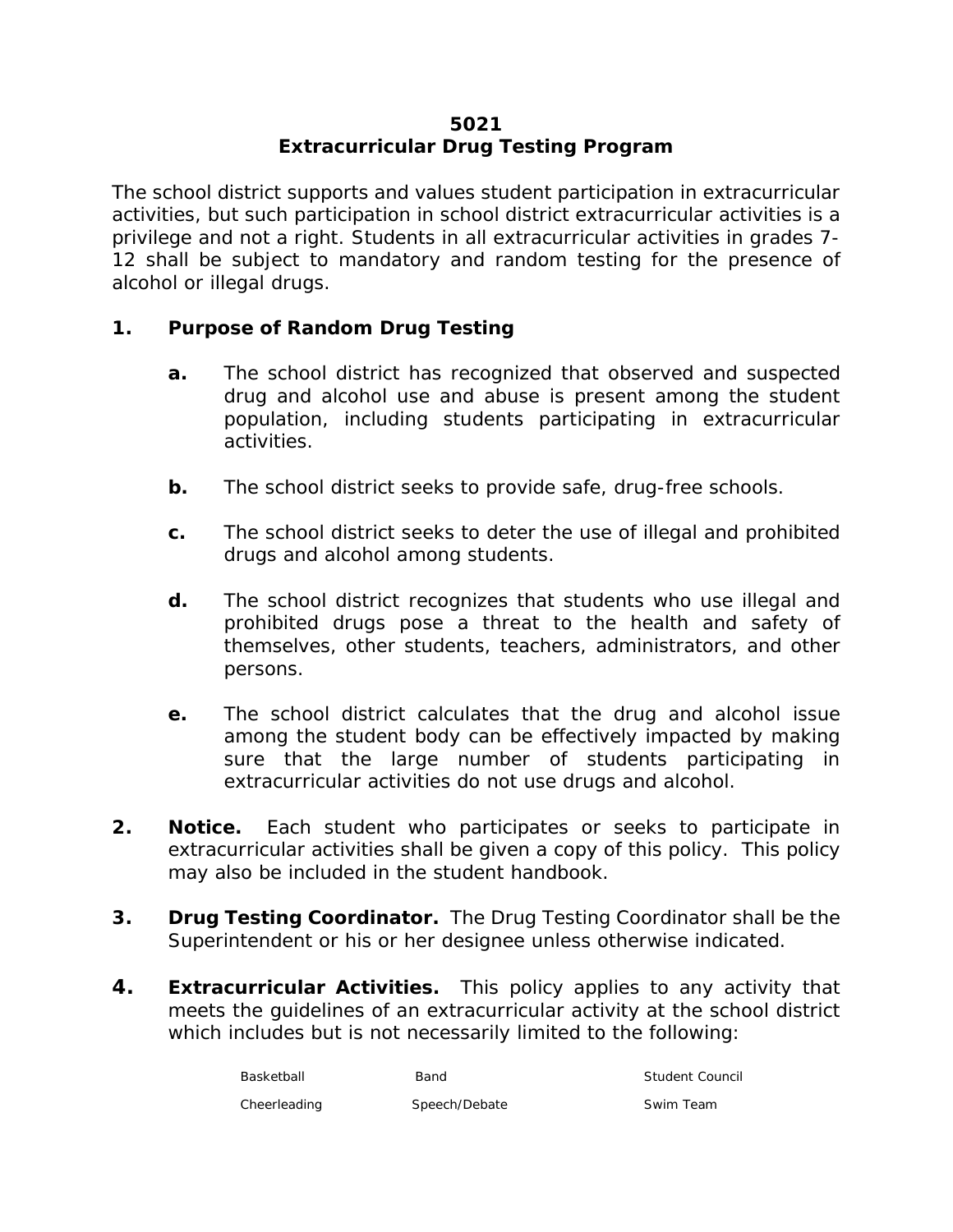# **5021 Extracurricular Drug Testing Program**

The school district supports and values student participation in extracurricular activities, but such participation in school district extracurricular activities is a privilege and not a right. Students in all extracurricular activities in grades 7- 12 shall be subject to mandatory and random testing for the presence of alcohol or illegal drugs.

# **1. Purpose of Random Drug Testing**

- **a.** The school district has recognized that observed and suspected drug and alcohol use and abuse is present among the student population, including students participating in extracurricular activities.
- **b.** The school district seeks to provide safe, drug-free schools.
- **c.** The school district seeks to deter the use of illegal and prohibited drugs and alcohol among students.
- **d.** The school district recognizes that students who use illegal and prohibited drugs pose a threat to the health and safety of themselves, other students, teachers, administrators, and other persons.
- **e.** The school district calculates that the drug and alcohol issue among the student body can be effectively impacted by making sure that the large number of students participating in extracurricular activities do not use drugs and alcohol.
- **2. Notice.** Each student who participates or seeks to participate in extracurricular activities shall be given a copy of this policy. This policy may also be included in the student handbook.
- **3. Drug Testing Coordinator.** The Drug Testing Coordinator shall be the Superintendent or his or her designee unless otherwise indicated.
- **4. Extracurricular Activities.** This policy applies to any activity that meets the guidelines of an extracurricular activity at the school district which includes but is not necessarily limited to the following:

| Basketball   | Band          | Student Council |
|--------------|---------------|-----------------|
| Cheerleading | Speech/Debate | Swim Team       |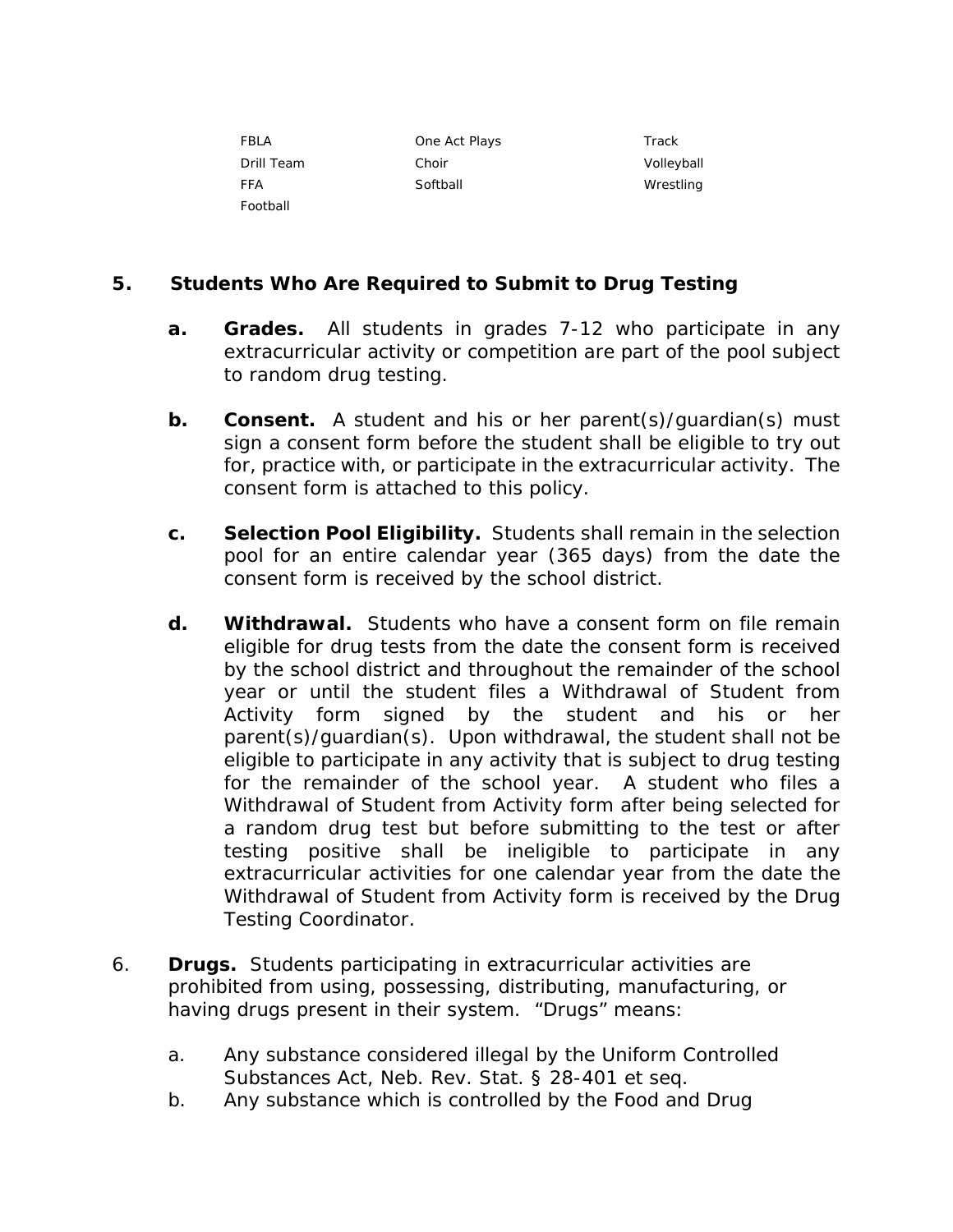| FBLA       | One Act Plays | Track      |
|------------|---------------|------------|
| Drill Team | Choir         | Volleyball |
| <b>FFA</b> | Softball      | Wrestling  |
| Football   |               |            |

# **5. Students Who Are Required to Submit to Drug Testing**

- **a. Grades.** All students in grades 7-12 who participate in any extracurricular activity or competition are part of the pool subject to random drug testing.
- **b. Consent.** A student and his or her parent(s)/guardian(s) must sign a consent form before the student shall be eligible to try out for, practice with, or participate in the extracurricular activity. The consent form is attached to this policy.
- **c. Selection Pool Eligibility.** Students shall remain in the selection pool for an entire calendar year (365 days) from the date the consent form is received by the school district.
- **d. Withdrawal.** Students who have a consent form on file remain eligible for drug tests from the date the consent form is received by the school district and throughout the remainder of the school year or until the student files a Withdrawal of Student from Activity form signed by the student and his or her parent(s)/guardian(s). Upon withdrawal, the student shall not be eligible to participate in any activity that is subject to drug testing for the remainder of the school year. A student who files a Withdrawal of Student from Activity form after being selected for a random drug test but before submitting to the test or after testing positive shall be ineligible to participate in any extracurricular activities for one calendar year from the date the Withdrawal of Student from Activity form is received by the Drug Testing Coordinator.
- 6. **Drugs.** Students participating in extracurricular activities are prohibited from using, possessing, distributing, manufacturing, or having drugs present in their system. "Drugs" means:
	- a. Any substance considered illegal by the Uniform Controlled Substances Act, Neb. Rev. Stat. § 28-401 *et seq.*
	- b. Any substance which is controlled by the Food and Drug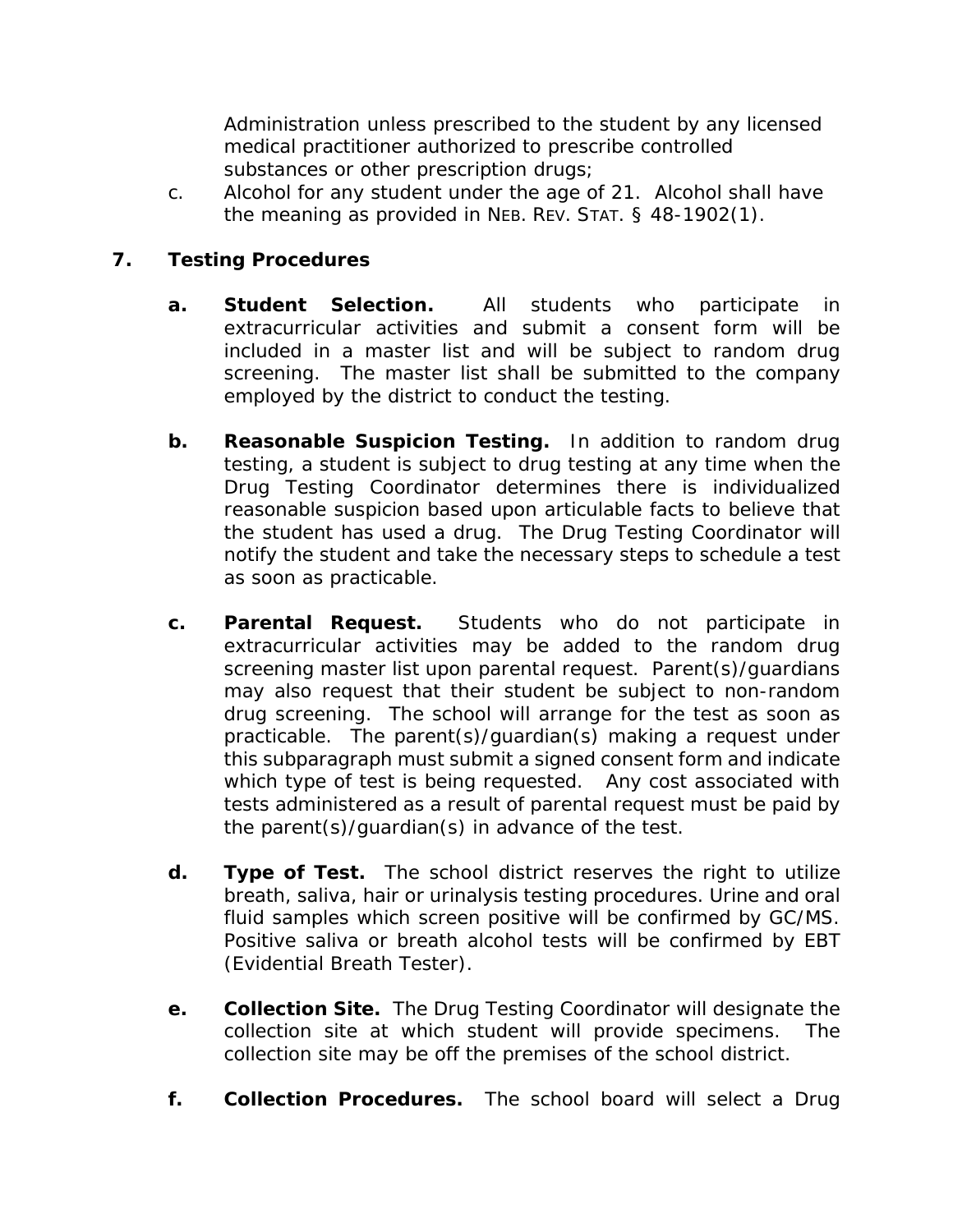Administration unless prescribed to the student by any licensed medical practitioner authorized to prescribe controlled substances or other prescription drugs;

c. Alcohol for any student under the age of 21. Alcohol shall have the meaning as provided in NEB. REV. STAT. § 48-1902(1).

# **7. Testing Procedures**

- **a. Student Selection.** All students who participate in extracurricular activities and submit a consent form will be included in a master list and will be subject to random drug screening. The master list shall be submitted to the company employed by the district to conduct the testing.
- **b. Reasonable Suspicion Testing.** In addition to random drug testing, a student is subject to drug testing at any time when the Drug Testing Coordinator determines there is individualized reasonable suspicion based upon articulable facts to believe that the student has used a drug. The Drug Testing Coordinator will notify the student and take the necessary steps to schedule a test as soon as practicable.
- **c. Parental Request.** Students who do not participate in extracurricular activities may be added to the random drug screening master list upon parental request. Parent(s)/guardians may also request that their student be subject to non-random drug screening. The school will arrange for the test as soon as practicable. The parent(s)/guardian(s) making a request under this subparagraph must submit a signed consent form and indicate which type of test is being requested. Any cost associated with tests administered as a result of parental request must be paid by the parent(s)/guardian(s) in advance of the test.
- **d. Type of Test.** The school district reserves the right to utilize breath, saliva, hair or urinalysis testing procedures. Urine and oral fluid samples which screen positive will be confirmed by GC/MS. Positive saliva or breath alcohol tests will be confirmed by EBT (Evidential Breath Tester).
- **e. Collection Site.** The Drug Testing Coordinator will designate the collection site at which student will provide specimens. The collection site may be off the premises of the school district.
- **f. Collection Procedures.** The school board will select a Drug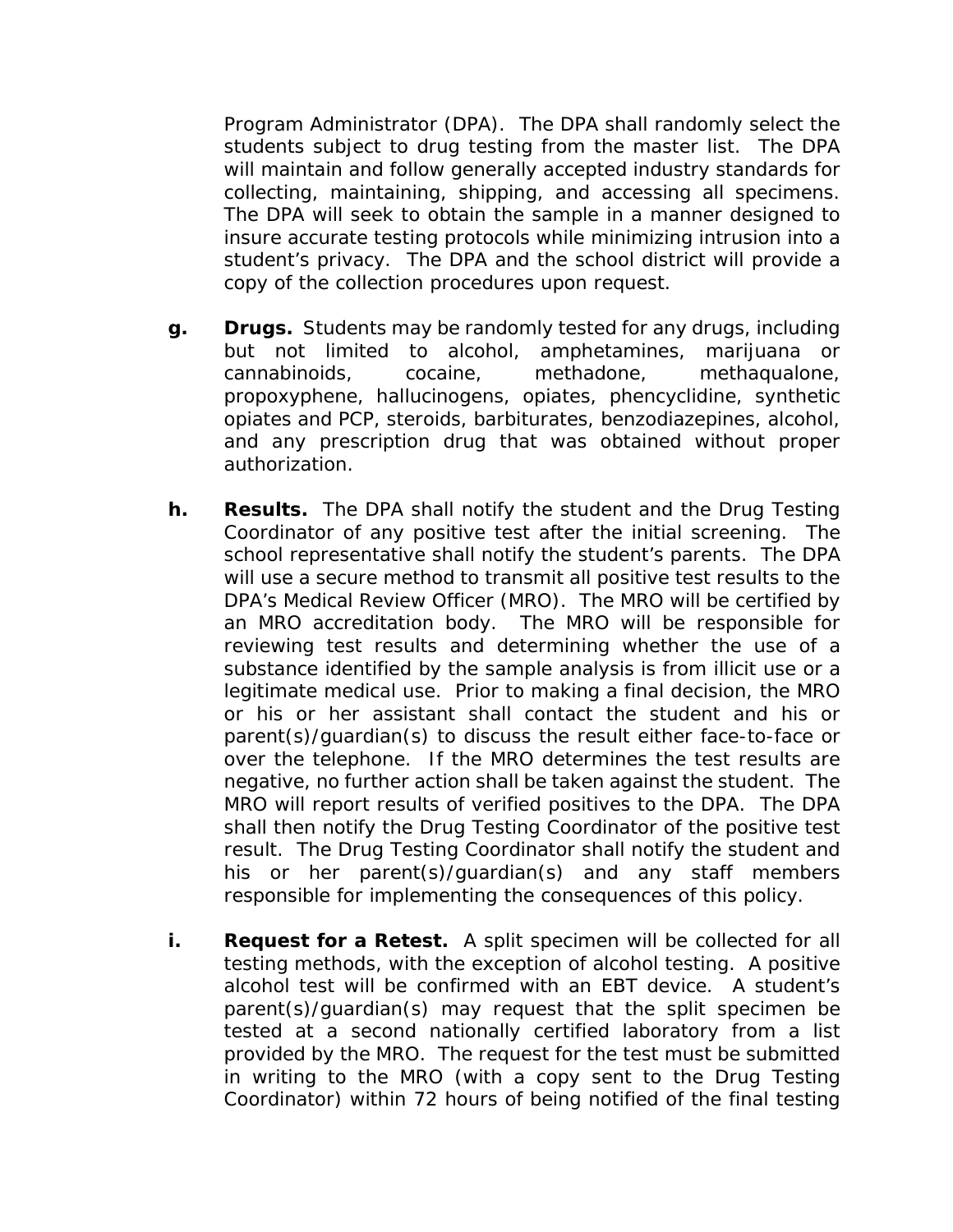Program Administrator (DPA). The DPA shall randomly select the students subject to drug testing from the master list. The DPA will maintain and follow generally accepted industry standards for collecting, maintaining, shipping, and accessing all specimens. The DPA will seek to obtain the sample in a manner designed to insure accurate testing protocols while minimizing intrusion into a student's privacy. The DPA and the school district will provide a copy of the collection procedures upon request.

- **g. Drugs.** Students may be randomly tested for any drugs, including but not limited to alcohol, amphetamines, marijuana or cannabinoids, cocaine, methadone, methaqualone, propoxyphene, hallucinogens, opiates, phencyclidine, synthetic opiates and PCP, steroids, barbiturates, benzodiazepines, alcohol, and any prescription drug that was obtained without proper authorization.
- **h. Results.** The DPA shall notify the student and the Drug Testing Coordinator of any positive test after the initial screening. The school representative shall notify the student's parents. The DPA will use a secure method to transmit all positive test results to the DPA's Medical Review Officer (MRO). The MRO will be certified by an MRO accreditation body. The MRO will be responsible for reviewing test results and determining whether the use of a substance identified by the sample analysis is from illicit use or a legitimate medical use. Prior to making a final decision, the MRO or his or her assistant shall contact the student and his or parent(s)/guardian(s) to discuss the result either face-to-face or over the telephone. If the MRO determines the test results are negative, no further action shall be taken against the student. The MRO will report results of verified positives to the DPA. The DPA shall then notify the Drug Testing Coordinator of the positive test result. The Drug Testing Coordinator shall notify the student and his or her parent(s)/guardian(s) and any staff members responsible for implementing the consequences of this policy.
- **i. Request for a Retest.** A split specimen will be collected for all testing methods, with the exception of alcohol testing. A positive alcohol test will be confirmed with an EBT device. A student's parent(s)/guardian(s) may request that the split specimen be tested at a second nationally certified laboratory from a list provided by the MRO. The request for the test must be submitted in writing to the MRO (with a copy sent to the Drug Testing Coordinator) within 72 hours of being notified of the final testing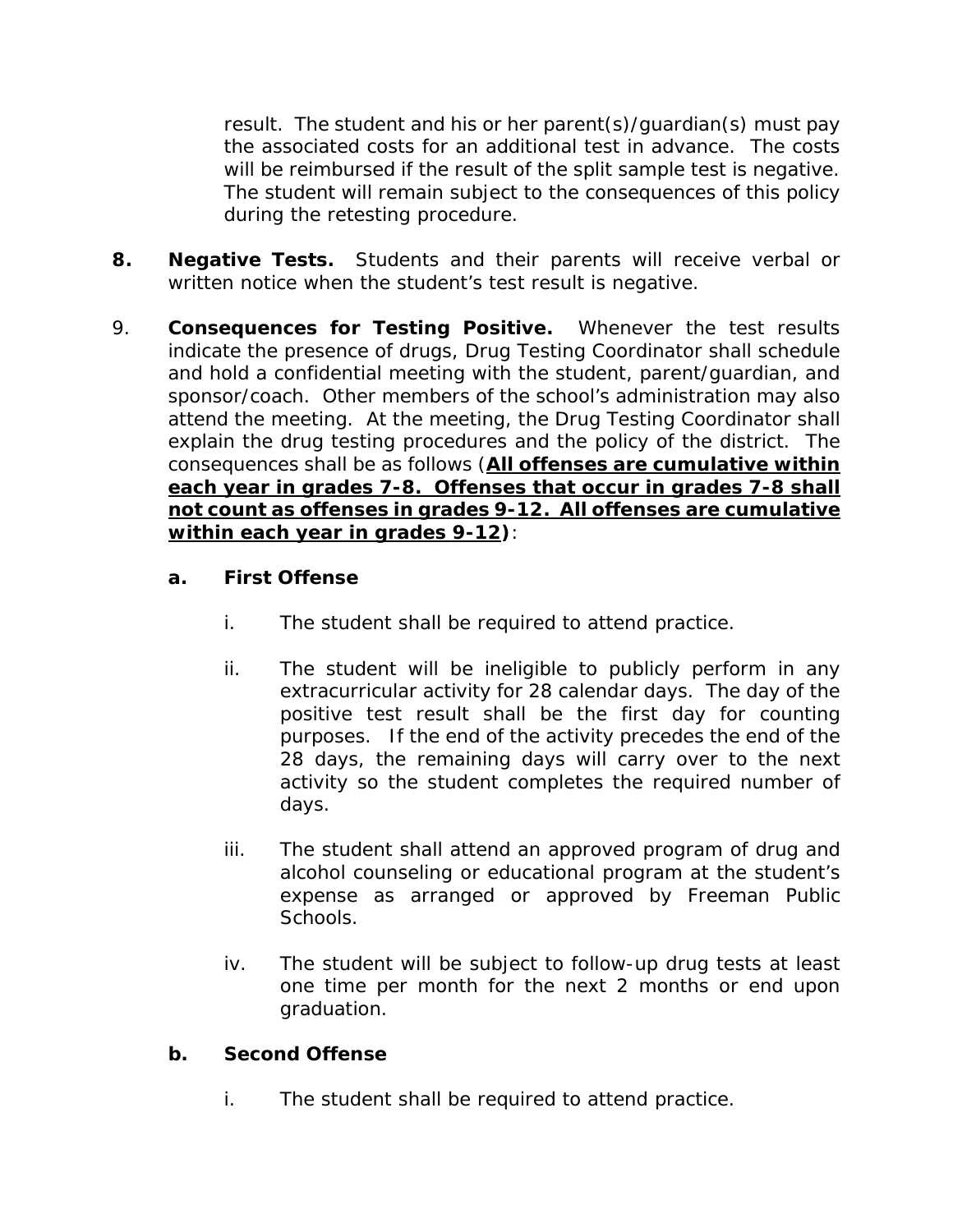result. The student and his or her parent(s)/guardian(s) must pay the associated costs for an additional test in advance. The costs will be reimbursed if the result of the split sample test is negative. The student will remain subject to the consequences of this policy during the retesting procedure.

- **8. Negative Tests.** Students and their parents will receive verbal or written notice when the student's test result is negative.
- 9. **Consequences for Testing Positive.** Whenever the test results indicate the presence of drugs, Drug Testing Coordinator shall schedule and hold a confidential meeting with the student, parent/guardian, and sponsor/coach. Other members of the school's administration may also attend the meeting. At the meeting, the Drug Testing Coordinator shall explain the drug testing procedures and the policy of the district. The consequences shall be as follows (**All offenses are cumulative within each year in grades 7-8. Offenses that occur in grades 7-8 shall not count as offenses in grades 9-12. All offenses are cumulative within each year in grades 9-12)**:

# **a. First Offense**

- i. The student shall be required to attend practice.
- ii. The student will be ineligible to publicly perform in any extracurricular activity for 28 calendar days. The day of the positive test result shall be the first day for counting purposes. If the end of the activity precedes the end of the 28 days, the remaining days will carry over to the next activity so the student completes the required number of days.
- iii. The student shall attend an approved program of drug and alcohol counseling or educational program at the student's expense as arranged or approved by Freeman Public Schools.
- iv. The student will be subject to follow-up drug tests at least one time per month for the next 2 months or end upon graduation.

# **b. Second Offense**

i. The student shall be required to attend practice.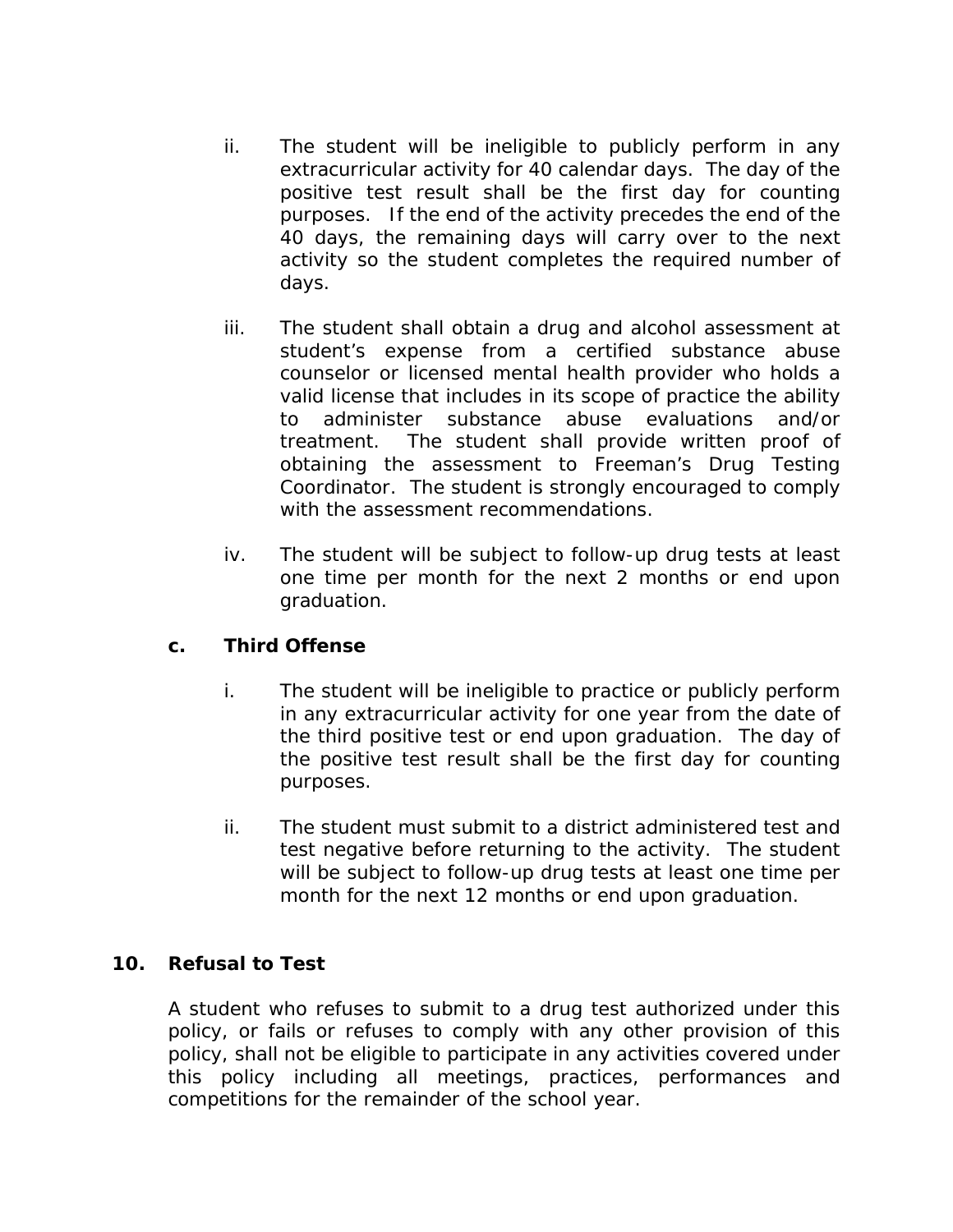- ii. The student will be ineligible to publicly perform in any extracurricular activity for 40 calendar days. The day of the positive test result shall be the first day for counting purposes. If the end of the activity precedes the end of the 40 days, the remaining days will carry over to the next activity so the student completes the required number of days.
- iii. The student shall obtain a drug and alcohol assessment at student's expense from a certified substance abuse counselor or licensed mental health provider who holds a valid license that includes in its scope of practice the ability to administer substance abuse evaluations and/or treatment. The student shall provide written proof of obtaining the assessment to Freeman's Drug Testing Coordinator. The student is strongly encouraged to comply with the assessment recommendations.
- iv. The student will be subject to follow-up drug tests at least one time per month for the next 2 months or end upon graduation.

# **c. Third Offense**

- i. The student will be ineligible to practice or publicly perform in any extracurricular activity for one year from the date of the third positive test or end upon graduation. The day of the positive test result shall be the first day for counting purposes.
- ii. The student must submit to a district administered test and test negative before returning to the activity. The student will be subject to follow-up drug tests at least one time per month for the next 12 months or end upon graduation.

# **10. Refusal to Test**

A student who refuses to submit to a drug test authorized under this policy, or fails or refuses to comply with any other provision of this policy, shall not be eligible to participate in any activities covered under this policy including all meetings, practices, performances and competitions for the remainder of the school year.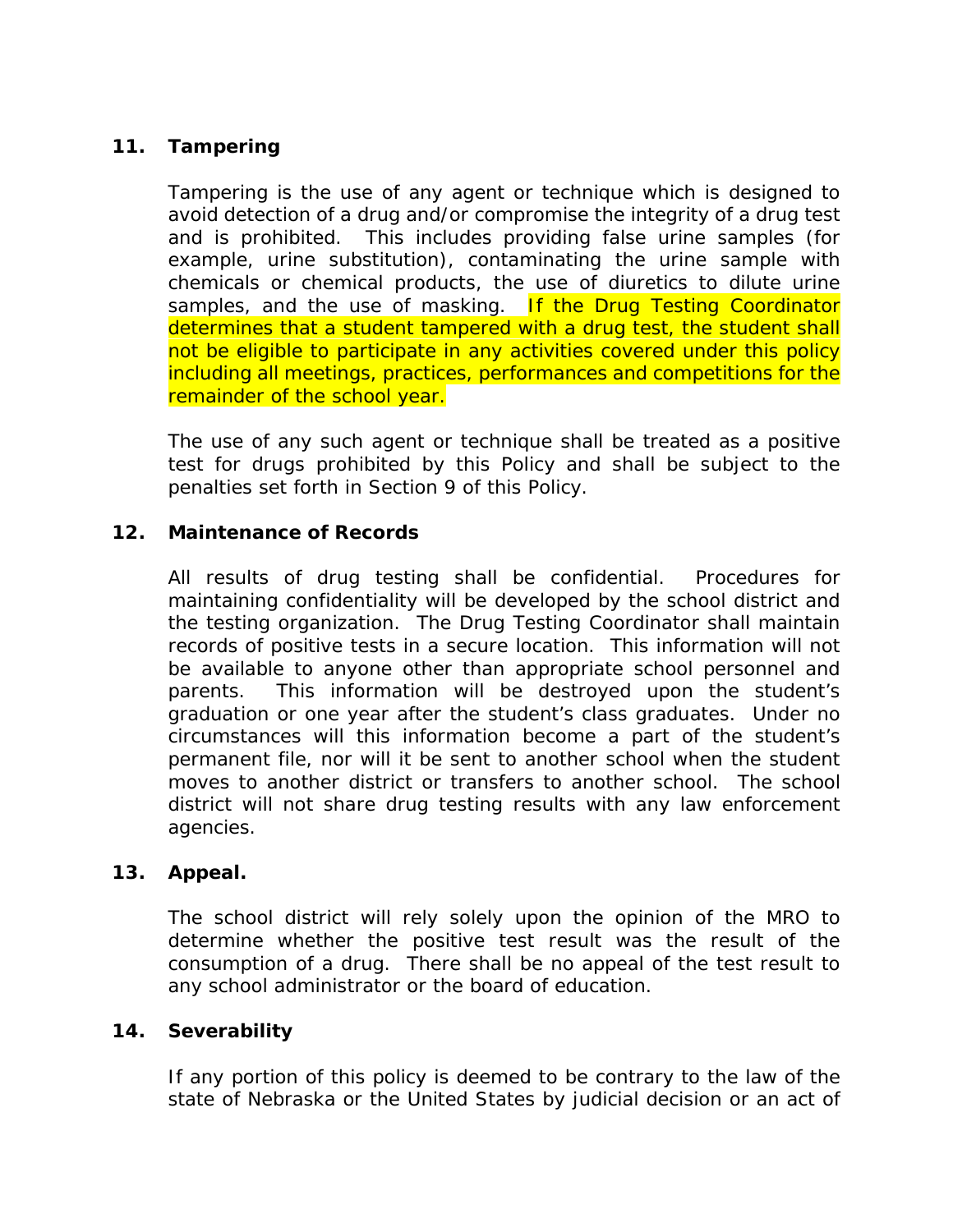# **11. Tampering**

Tampering is the use of any agent or technique which is designed to avoid detection of a drug and/or compromise the integrity of a drug test and is prohibited. This includes providing false urine samples (for example, urine substitution), contaminating the urine sample with chemicals or chemical products, the use of diuretics to dilute urine samples, and the use of masking. If the Drug Testing Coordinator determines that a student tampered with a drug test, the student shall not be eligible to participate in any activities covered under this policy including all meetings, practices, performances and competitions for the remainder of the school year.

The use of any such agent or technique shall be treated as a positive test for drugs prohibited by this Policy and shall be subject to the penalties set forth in Section 9 of this Policy.

### **12. Maintenance of Records**

All results of drug testing shall be confidential. Procedures for maintaining confidentiality will be developed by the school district and the testing organization. The Drug Testing Coordinator shall maintain records of positive tests in a secure location. This information will not be available to anyone other than appropriate school personnel and parents. This information will be destroyed upon the student's graduation or one year after the student's class graduates. Under no circumstances will this information become a part of the student's permanent file, nor will it be sent to another school when the student moves to another district or transfers to another school. The school district will not share drug testing results with any law enforcement agencies.

#### **13. Appeal.**

The school district will rely solely upon the opinion of the MRO to determine whether the positive test result was the result of the consumption of a drug. There shall be no appeal of the test result to any school administrator or the board of education.

#### **14. Severability**

If any portion of this policy is deemed to be contrary to the law of the state of Nebraska or the United States by judicial decision or an act of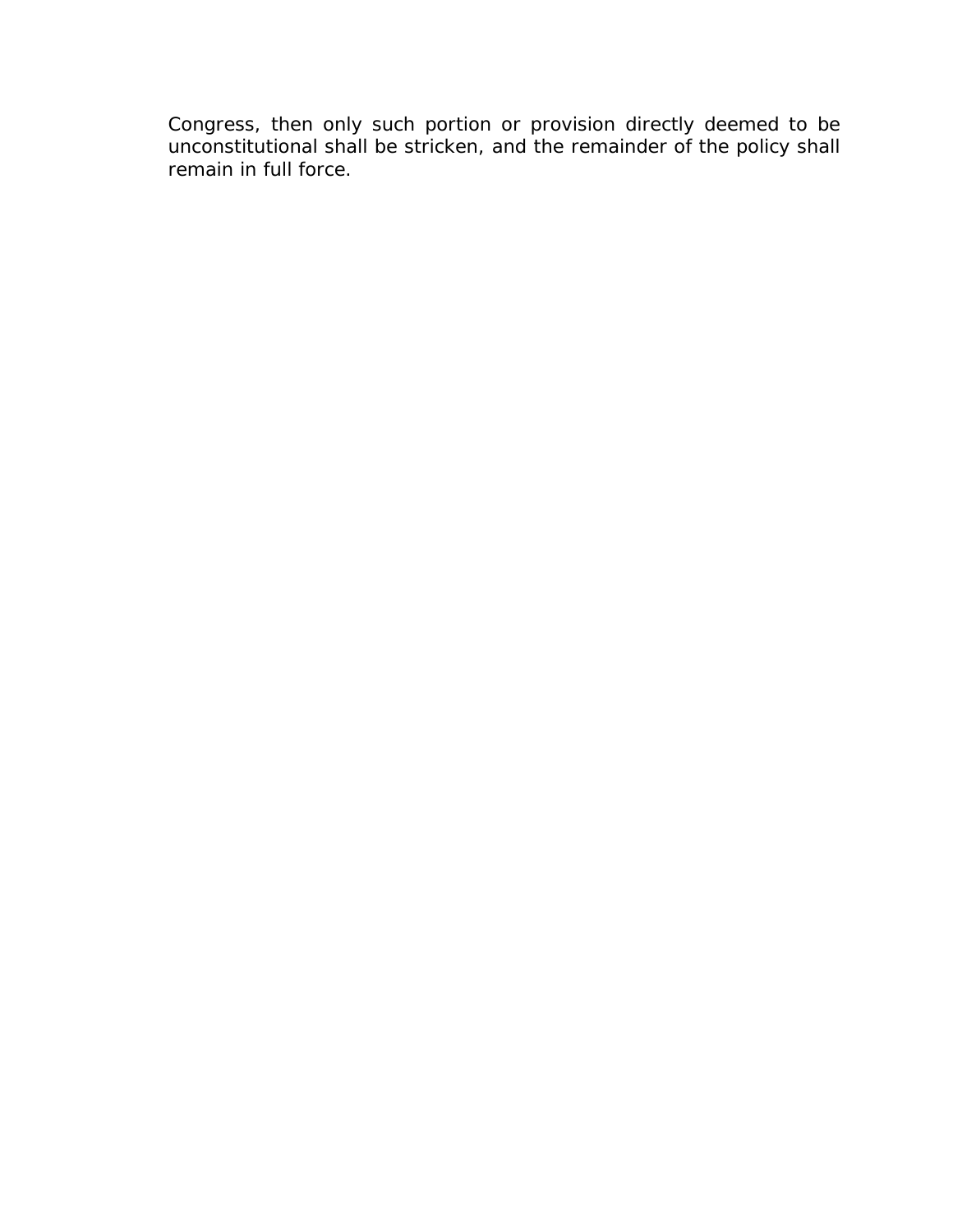Congress, then only such portion or provision directly deemed to be unconstitutional shall be stricken, and the remainder of the policy shall remain in full force.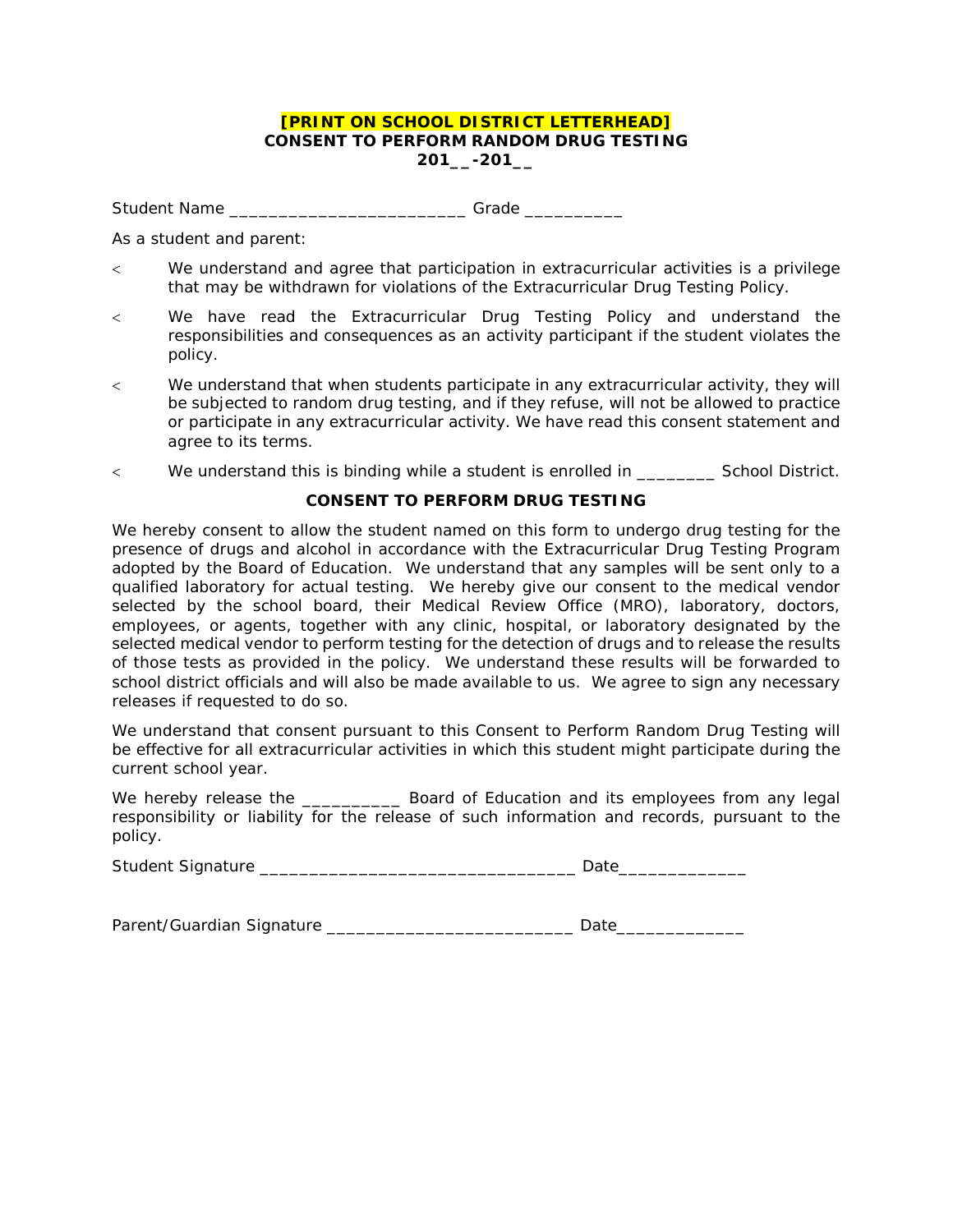#### **[PRINT ON SCHOOL DISTRICT LETTERHEAD] CONSENT TO PERFORM RANDOM DRUG TESTING 201\_\_-201\_\_**

Student Name \_\_\_\_\_\_\_\_\_\_\_\_\_\_\_\_\_\_\_\_\_\_\_\_\_\_\_\_\_Grade \_\_\_\_\_\_\_\_\_\_\_\_\_

As a student and parent:

- < We understand and agree that participation in extracurricular activities is a privilege that may be withdrawn for violations of the Extracurricular Drug Testing Policy.
- < We have read the Extracurricular Drug Testing Policy and understand the responsibilities and consequences as an activity participant if the student violates the policy.
- < We understand that when students participate in any extracurricular activity, they will be subjected to random drug testing, and if they refuse, will not be allowed to practice or participate in any extracurricular activity. We have read this consent statement and agree to its terms.
- < We understand this is binding while a student is enrolled in \_\_\_\_\_\_\_\_ School District.

#### **CONSENT TO PERFORM DRUG TESTING**

We hereby consent to allow the student named on this form to undergo drug testing for the presence of drugs and alcohol in accordance with the Extracurricular Drug Testing Program adopted by the Board of Education. We understand that any samples will be sent only to a qualified laboratory for actual testing. We hereby give our consent to the medical vendor selected by the school board, their Medical Review Office (MRO), laboratory, doctors, employees, or agents, together with any clinic, hospital, or laboratory designated by the selected medical vendor to perform testing for the detection of drugs and to release the results of those tests as provided in the policy. We understand these results will be forwarded to school district officials and will also be made available to us. We agree to sign any necessary releases if requested to do so.

We understand that consent pursuant to this Consent to Perform Random Drug Testing will be effective for all extracurricular activities in which this student might participate during the current school year.

We hereby release the \_\_\_\_\_\_\_\_\_\_\_\_\_\_ Board of Education and its employees from any legal responsibility or liability for the release of such information and records, pursuant to the policy.

| <b>Student Signature</b> |  |
|--------------------------|--|
|--------------------------|--|

Parent/Guardian Signature \_\_\_\_\_\_\_\_\_\_\_\_\_\_\_\_\_\_\_\_\_\_\_\_\_ Date\_\_\_\_\_\_\_\_\_\_\_\_\_